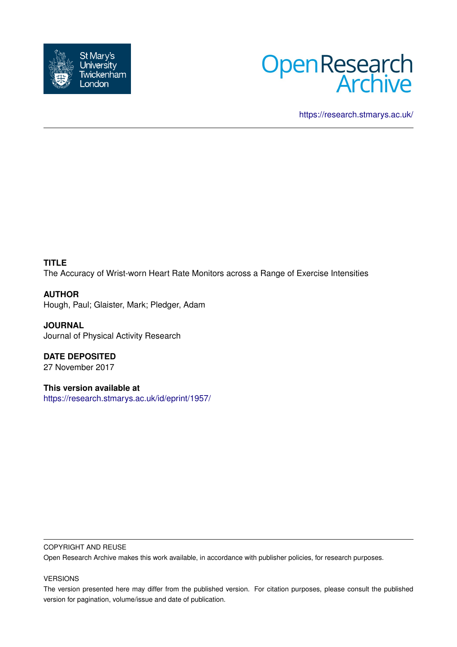



<https://research.stmarys.ac.uk/>

# **TITLE**

The Accuracy of Wrist-worn Heart Rate Monitors across a Range of Exercise Intensities

# **AUTHOR**

Hough, Paul; Glaister, Mark; Pledger, Adam

**JOURNAL** Journal of Physical Activity Research

**DATE DEPOSITED** 27 November 2017

**This version available at** <https://research.stmarys.ac.uk/id/eprint/1957/>

#### COPYRIGHT AND REUSE

Open Research Archive makes this work available, in accordance with publisher policies, for research purposes.

## VERSIONS

The version presented here may differ from the published version. For citation purposes, please consult the published version for pagination, volume/issue and date of publication.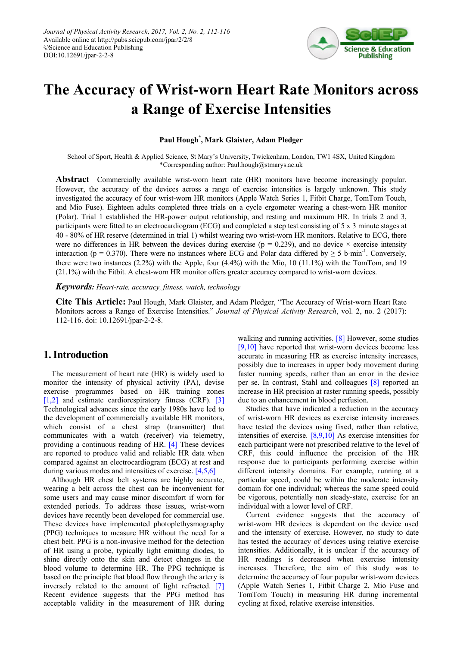

# **The Accuracy of Wrist-worn Heart Rate Monitors across a Range of Exercise Intensities**

**Paul Hough\* , Mark Glaister, Adam Pledger**

School of Sport, Health & Applied Science, St Mary's University, Twickenham, London, TW1 4SX, United Kingdom \*Corresponding author: Paul.hough@stmarys.ac.uk

**Abstract** Commercially available wrist-worn heart rate (HR) monitors have become increasingly popular. However, the accuracy of the devices across a range of exercise intensities is largely unknown. This study investigated the accuracy of four wrist-worn HR monitors (Apple Watch Series 1, Fitbit Charge, TomTom Touch, and Mio Fuse). Eighteen adults completed three trials on a cycle ergometer wearing a chest-worn HR monitor (Polar). Trial 1 established the HR-power output relationship, and resting and maximum HR. In trials 2 and 3, participants were fitted to an electrocardiogram (ECG) and completed a step test consisting of 5 x 3 minute stages at 40 - 80% of HR reserve (determined in trial 1) whilst wearing two wrist-worn HR monitors. Relative to ECG, there were no differences in HR between the devices during exercise ( $p = 0.239$ ), and no device  $\times$  exercise intensity interaction ( $p = 0.370$ ). There were no instances where ECG and Polar data differed by  $\geq 5$  b·min<sup>-1</sup>. Conversely, there were two instances (2.2%) with the Apple, four (4.4%) with the Mio, 10 (11.1%) with the TomTom, and 19 (21.1%) with the Fitbit. A chest-worn HR monitor offers greater accuracy compared to wrist-worn devices.

*Keywords: Heart-rate, accuracy, fitness, watch, technology*

**Cite This Article:** Paul Hough, Mark Glaister, and Adam Pledger, "The Accuracy of Wrist-worn Heart Rate Monitors across a Range of Exercise Intensities." *Journal of Physical Activity Research*, vol. 2, no. 2 (2017): 112-116. doi: 10.12691/jpar-2-2-8.

## **1. Introduction**

The measurement of heart rate (HR) is widely used to monitor the intensity of physical activity (PA), devise exercise programmes based on HR training zones [\[1,2\]](#page-4-0) and estimate cardiorespiratory fitness (CRF). [\[3\]](#page-4-1) Technological advances since the early 1980s have led to the development of commercially available HR monitors, which consist of a chest strap (transmitter) that communicates with a watch (receiver) via telemetry, providing a continuous reading of HR. [\[4\]](#page-4-2) These devices are reported to produce valid and reliable HR data when compared against an electrocardiogram (ECG) at rest and during various modes and intensities of exercise. [\[4,5,6\]](#page-4-2)

Although HR chest belt systems are highly accurate, wearing a belt across the chest can be inconvenient for some users and may cause minor discomfort if worn for extended periods. To address these issues, wrist-worn devices have recently been developed for commercial use. These devices have implemented photoplethysmography (PPG) techniques to measure HR without the need for a chest belt. PPG is a non-invasive method for the detection of HR using a probe, typically light emitting diodes, to shine directly onto the skin and detect changes in the blood volume to determine HR. The PPG technique is based on the principle that blood flow through the artery is inversely related to the amount of light refracted. [\[7\]](#page-4-3) Recent evidence suggests that the PPG method has acceptable validity in the measurement of HR during

walking and running activities. [\[8\]](#page-4-4) However, some studies [\[9,10\]](#page-5-0) have reported that wrist-worn devices become less accurate in measuring HR as exercise intensity increases, possibly due to increases in upper body movement during faster running speeds, rather than an error in the device per se. In contrast, Stahl and colleagues [\[8\]](#page-4-4) reported an increase in HR precision at raster running speeds, possibly due to an enhancement in blood perfusion.

Studies that have indicated a reduction in the accuracy of wrist-worn HR devices as exercise intensity increases have tested the devices using fixed, rather than relative, intensities of exercise. [\[8,9,10\]](#page-4-4) As exercise intensities for each participant were not prescribed relative to the level of CRF, this could influence the precision of the HR response due to participants performing exercise within different intensity domains. For example, running at a particular speed, could be within the moderate intensity domain for one individual; whereas the same speed could be vigorous, potentially non steady-state, exercise for an individual with a lower level of CRF.

Current evidence suggests that the accuracy of wrist-worn HR devices is dependent on the device used and the intensity of exercise. However, no study to date has tested the accuracy of devices using relative exercise intensities. Additionally, it is unclear if the accuracy of HR readings is decreased when exercise intensity increases. Therefore, the aim of this study was to determine the accuracy of four popular wrist-worn devices (Apple Watch Series 1, Fitbit Charge 2, Mio Fuse and TomTom Touch) in measuring HR during incremental cycling at fixed, relative exercise intensities.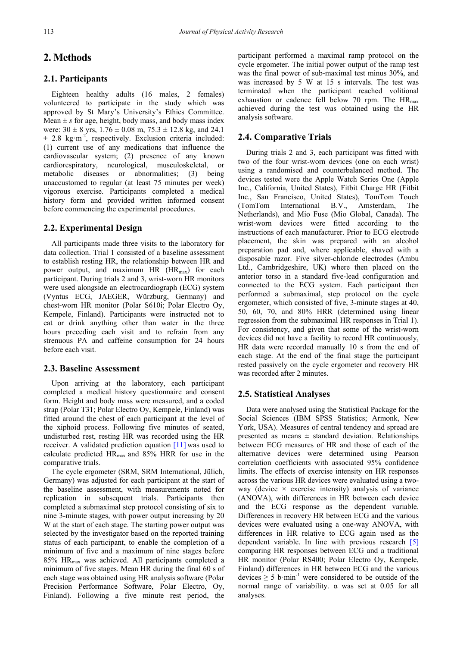# **2. Methods**

#### **2.1. Participants**

Eighteen healthy adults (16 males, 2 females) volunteered to participate in the study which was approved by St Mary's University's Ethics Committee. Mean  $\pm s$  for age, height, body mass, and body mass index were:  $30 \pm 8$  yrs,  $1.76 \pm 0.08$  m,  $75.3 \pm 12.8$  kg, and 24.1  $\pm$  2.8 kg·m<sup>-2</sup>, respectively. Exclusion criteria included: (1) current use of any medications that influence the cardiovascular system; (2) presence of any known cardiorespiratory, neurological, musculoskeletal, or metabolic diseases or abnormalities; (3) being unaccustomed to regular (at least 75 minutes per week) vigorous exercise. Participants completed a medical history form and provided written informed consent before commencing the experimental procedures.

#### **2.2. Experimental Design**

All participants made three visits to the laboratory for data collection. Trial 1 consisted of a baseline assessment to establish resting HR, the relationship between HR and power output, and maximum HR (HR<sub>max</sub>) for each participant. During trials 2 and 3, wrist-worn HR monitors were used alongside an electrocardiograph (ECG) system (Vyntus ECG, JAEGER, Würzburg, Germany) and chest-worn HR monitor (Polar S610i; Polar Electro Oy, Kempele, Finland). Participants were instructed not to eat or drink anything other than water in the three hours preceding each visit and to refrain from any strenuous PA and caffeine consumption for 24 hours before each visit.

#### **2.3. Baseline Assessment**

Upon arriving at the laboratory, each participant completed a medical history questionnaire and consent form. Height and body mass were measured, and a coded strap (Polar T31; Polar Electro Oy, Kempele, Finland) was fitted around the chest of each participant at the level of the xiphoid process. Following five minutes of seated, undisturbed rest, resting HR was recorded using the HR receiver. A validated prediction equation [\[11\]](#page-5-1) was used to calculate predicted HRmax and 85% HRR for use in the comparative trials.

The cycle ergometer (SRM, SRM International, Jülich, Germany) was adjusted for each participant at the start of the baseline assessment, with measurements noted for replication in subsequent trials. Participants then completed a submaximal step protocol consisting of six to nine 3-minute stages, with power output increasing by 20 W at the start of each stage. The starting power output was selected by the investigator based on the reported training status of each participant, to enable the completion of a minimum of five and a maximum of nine stages before 85% HRmax was achieved. All participants completed a minimum of five stages. Mean HR during the final 60 s of each stage was obtained using HR analysis software (Polar Precision Performance Software, Polar Electro, Oy, Finland). Following a five minute rest period, the

participant performed a maximal ramp protocol on the cycle ergometer. The initial power output of the ramp test was the final power of sub-maximal test minus 30%, and was increased by 5 W at 15 s intervals. The test was terminated when the participant reached volitional exhaustion or cadence fell below 70 rpm. The  $HR_{max}$ achieved during the test was obtained using the HR analysis software.

#### **2.4. Comparative Trials**

During trials 2 and 3, each participant was fitted with two of the four wrist-worn devices (one on each wrist) using a randomised and counterbalanced method. The devices tested were the Apple Watch Series One (Apple Inc., California, United States), Fitbit Charge HR (Fitbit Inc., San Francisco, United States), TomTom Touch (TomTom International B.V., Amsterdam, The Netherlands), and Mio Fuse (Mio Global, Canada). The wrist-worn devices were fitted according to the instructions of each manufacturer. Prior to ECG electrode placement, the skin was prepared with an alcohol preparation pad and, where applicable, shaved with a disposable razor. Five silver-chloride electrodes (Ambu Ltd., Cambridgeshire, UK) where then placed on the anterior torso in a standard five-lead configuration and connected to the ECG system. Each participant then performed a submaximal, step protocol on the cycle ergometer, which consisted of five, 3-minute stages at 40, 50, 60, 70, and 80% HRR (determined using linear regression from the submaximal HR responses in Trial 1). For consistency, and given that some of the wrist-worn devices did not have a facility to record HR continuously, HR data were recorded manually 10 s from the end of each stage. At the end of the final stage the participant rested passively on the cycle ergometer and recovery HR was recorded after 2 minutes.

#### **2.5. Statistical Analyses**

Data were analysed using the Statistical Package for the Social Sciences (IBM SPSS Statistics; Armonk, New York, USA). Measures of central tendency and spread are presented as means  $\pm$  standard deviation. Relationships between ECG measures of HR and those of each of the alternative devices were determined using Pearson correlation coefficients with associated 95% confidence limits. The effects of exercise intensity on HR responses across the various HR devices were evaluated using a twoway (device  $\times$  exercise intensity) analysis of variance (ANOVA), with differences in HR between each device and the ECG response as the dependent variable. Differences in recovery HR between ECG and the various devices were evaluated using a one-way ANOVA, with differences in HR relative to ECG again used as the dependent variable. In line with previous research [\[5\]](#page-4-5) comparing HR responses between ECG and a traditional HR monitor (Polar RS400; Polar Electro Oy, Kempele, Finland) differences in HR between ECG and the various devices  $\geq$  5 b·min<sup>-1</sup> were considered to be outside of the normal range of variability. α was set at 0.05 for all analyses.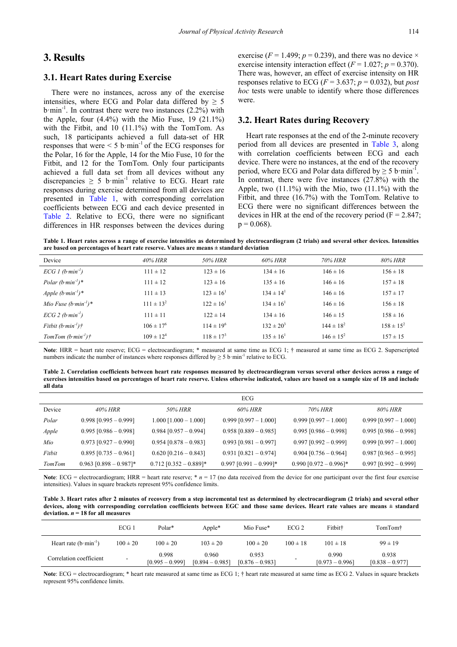# **3. Results**

#### **3.1. Heart Rates during Exercise**

There were no instances, across any of the exercise intensities, where ECG and Polar data differed by  $\geq$  5  $b \cdot min^{-1}$ . In contrast there were two instances  $(2.2\%)$  with the Apple, four  $(4.4\%)$  with the Mio Fuse, 19  $(21.1\%)$ with the Fitbit, and 10 (11.1%) with the TomTom. As such, 18 participants achieved a full data-set of HR responses that were  $\leq 5$  b·min<sup>-1</sup> of the ECG responses for the Polar, 16 for the Apple, 14 for the Mio Fuse, 10 for the Fitbit, and 12 for the TomTom. Only four participants achieved a full data set from all devices without any discrepancies  $\geq 5$  b·min<sup>-1</sup> relative to ECG. Heart rate responses during exercise determined from all devices are presented in [Table 1,](#page-3-0) with corresponding correlation coefficients between ECG and each device presented in [Table 2.](#page-3-1) Relative to ECG, there were no significant differences in HR responses between the devices during

exercise ( $F = 1.499$ ;  $p = 0.239$ ), and there was no device  $\times$ exercise intensity interaction effect  $(F = 1.027; p = 0.370)$ . There was, however, an effect of exercise intensity on HR responses relative to ECG ( $F = 3.637$ ;  $p = 0.032$ ), but *post hoc* tests were unable to identify where those differences were.

#### **3.2. Heart Rates during Recovery**

Heart rate responses at the end of the 2-minute recovery period from all devices are presented in [Table 3,](#page-3-2) along with correlation coefficients between ECG and each device. There were no instances, at the end of the recovery period, where ECG and Polar data differed by  $\geq 5$  b·min<sup>-1</sup>. In contrast, there were five instances (27.8%) with the Apple, two (11.1%) with the Mio, two (11.1%) with the Fitbit, and three (16.7%) with the TomTom. Relative to ECG there were no significant differences between the devices in HR at the end of the recovery period ( $F = 2.847$ ;  $p = 0.068$ ).

**Table 1. Heart rates across a range of exercise intensities as determined by electrocardiogram (2 trials) and several other devices. Intensities are based on percentages of heart rate reserve. Values are means ± standard deviation**

<span id="page-3-0"></span>

| Device                         | 40% HRR          | <i>50% HRR</i>   | 60% HRR        | 70% HRR          | 80% HRR        |
|--------------------------------|------------------|------------------|----------------|------------------|----------------|
| $ECG1(b·min-1)$                | $111 \pm 12$     | $123 \pm 16$     | $134 \pm 16$   | $146 \pm 16$     | $156 \pm 18$   |
| Polar $(b·min^{-1})^*$         | $111 \pm 12$     | $123 \pm 16$     | $135 \pm 16$   | $146 \pm 16$     | $157 \pm 18$   |
| Apple $(b·min-1)$ <sup>*</sup> | $111 \pm 13$     | $123 \pm 16^1$   | $134 \pm 14^1$ | $146 \pm 16$     | $157 \pm 17$   |
| Mio Fuse $(b·min^{-1})^*$      | $111 \pm 13^2$   | $122 \pm 16^1$   | $134 \pm 16^1$ | $146 \pm 16$     | $156 \pm 18$   |
| $ECG$ 2 (b·min <sup>-1</sup> ) | $111 \pm 11$     | $122 \pm 14$     | $134 \pm 16$   | $146 \pm 15$     | $158 \pm 16$   |
| Fithit $(b·min^{-1})\uparrow$  | $106 \pm 17^6$   | $114 \pm 19^{6}$ | $132 \pm 20^3$ | $144 \pm 18^{2}$ | $158 \pm 15^2$ |
| $TomTom(b·min-1)$ †            | $109 \pm 12^{4}$ | $118 \pm 17^{3}$ | $135 \pm 16^1$ | $146 \pm 15^2$   | $157 \pm 15$   |

Note: HRR = heart rate reserve; ECG = electrocardiogram; \* measured at same time as ECG 1; † measured at same time as ECG 2. Superscripted numbers indicate the number of instances where responses differed by  $\geq$  5 b·min<sup>-1</sup> relative to ECG.

**Table 2. Correlation coefficients between heart rate responses measured by electrocardiogram versus several other devices across a range of exercises intensities based on percentages of heart rate reserve. Unless otherwise indicated, values are based on a sample size of 18 and include all data**

<span id="page-3-1"></span>

|               |                          |                           | ECG                      |                          |                         |
|---------------|--------------------------|---------------------------|--------------------------|--------------------------|-------------------------|
| Device        | $40\%$ HRR               | 50% HRR                   | 60% HRR                  | 70% HRR                  | 80% HRR                 |
| Polar         | $0.998$ [0.995 - 0.999]  | $1.000$ $[1.000 - 1.000]$ | $0.999$ [0.997 - 1.000]  | $0.999$ [0.997 - 1.000]  | $0.999$ [0.997 - 1.000] |
| Apple         | $0.995$ [0.986 - 0.998]  | $0.984$ [0.957 - 0.994]   | $0.958$ [0.889 - 0.985]  | $0.995$ [0.986 - 0.998]  | $0.995$ [0.986 - 0.998] |
| Mio           | $0.973$ [0.927 - 0.990]  | $0.954$ [0.878 - 0.983]   | $0.993$ [0.981 - 0.997]  | $0.997$ [0.992 - 0.999]  | $0.999$ [0.997 - 1.000] |
| Fitbit        | $0.895$ [0.735 - 0.961]  | $0.620$ [0.216 - 0.843]   | $0.931$ [0.821 - 0.974]  | $0.904$ [0.756 - 0.964]  | $0.987$ [0.965 - 0.995] |
| <b>TomTom</b> | $0.963$ [0.898 - 0.987]* | $0.712$ [0.352 - 0.889]*  | $0.997$ [0.991 - 0.999]* | $0.990$ [0.972 - 0.996]* | $0.997$ [0.992 - 0.999] |

**Note**: ECG = electrocardiogram; HRR = heart rate reserve;  $* n = 17$  (no data received from the device for one participant over the first four exercise intensities). Values in square brackets represent 95% confidence limits.

**Table 3. Heart rates after 2 minutes of recovery from a step incremental test as determined by electrocardiogram (2 trials) and several other devices, along with corresponding correlation coefficients between EGC and those same devices. Heart rate values are means ± standard deviation.** *n* **= 18 for all measures**

<span id="page-3-2"></span>

|                         | ECG 1                    | Polar*                     | Apple*                     | Mio Fuse*                  | ECG <sub>2</sub> | Fitbit†                    | TomTom†                    |
|-------------------------|--------------------------|----------------------------|----------------------------|----------------------------|------------------|----------------------------|----------------------------|
| Heart rate $(b·min-1)$  | $100 \pm 20$             | $100 \pm 20$               | $103 \pm 20$               | $100 \pm 20$               | $100 \pm 18$     | $101 \pm 18$               | $99 \pm 19$                |
| Correlation coefficient | $\overline{\phantom{a}}$ | 0.998<br>$[0.995 - 0.999]$ | 0.960<br>$[0.894 - 0.985]$ | 0.953<br>$[0.876 - 0.983]$ |                  | 0.990<br>$[0.973 - 0.996]$ | 0.938<br>$[0.838 - 0.977]$ |

Note: ECG = electrocardiogram; \* heart rate measured at same time as ECG 1; † heart rate measured at same time as ECG 2. Values in square brackets represent 95% confidence limits.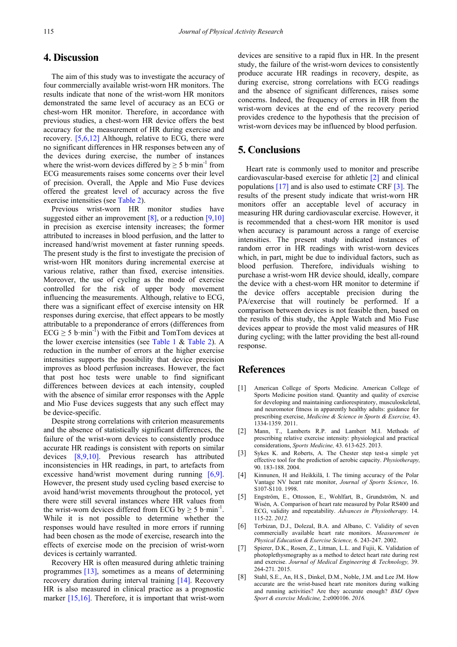### **4. Discussion**

The aim of this study was to investigate the accuracy of four commercially available wrist-worn HR monitors. The results indicate that none of the wrist-worn HR monitors demonstrated the same level of accuracy as an ECG or chest-worn HR monitor. Therefore, in accordance with previous studies, a chest-worn HR device offers the best accuracy for the measurement of HR during exercise and recovery. [\[5,6,12\]](#page-4-5) Although, relative to ECG, there were no significant differences in HR responses between any of the devices during exercise, the number of instances where the wrist-worn devices differed by  $\geq 5$  b·min<sup>-1</sup> from ECG measurements raises some concerns over their level of precision. Overall, the Apple and Mio Fuse devices offered the greatest level of accuracy across the five exercise intensities (se[e Table 2\)](#page-3-1).

Previous wrist-worn HR monitor studies have suggested either an improvement  $[8]$ , or a reduction  $[9,10]$ in precision as exercise intensity increases; the former attributed to increases in blood perfusion, and the latter to increased hand/wrist movement at faster running speeds. The present study is the first to investigate the precision of wrist-worn HR monitors during incremental exercise at various relative, rather than fixed, exercise intensities. Moreover, the use of cycling as the mode of exercise controlled for the risk of upper body movement influencing the measurements. Although, relative to ECG, there was a significant effect of exercise intensity on HR responses during exercise, that effect appears to be mostly attributable to a preponderance of errors (differences from  $\text{ECG} \geq 5$  b·min<sup>-1</sup>) with the Fitbit and TomTom devices at the lower exercise intensities (see [Table 1](#page-3-0)  $\&$  [Table 2\)](#page-3-1). A reduction in the number of errors at the higher exercise intensities supports the possibility that device precision improves as blood perfusion increases. However, the fact that post hoc tests were unable to find significant differences between devices at each intensity, coupled with the absence of similar error responses with the Apple and Mio Fuse devices suggests that any such effect may be device-specific.

Despite strong correlations with criterion measurements and the absence of statistically significant differences, the failure of the wrist-worn devices to consistently produce accurate HR readings is consistent with reports on similar devices [\[8,9,10\].](#page-4-4) Previous research has attributed inconsistencies in HR readings, in part, to artefacts from excessive hand/wrist movement during running [\[6,9\].](#page-4-6) However, the present study used cycling based exercise to avoid hand/wrist movements throughout the protocol, yet there were still several instances where HR values from the wrist-worn devices differed from ECG by  $\geq 5$  b·min<sup>-1</sup>. While it is not possible to determine whether the responses would have resulted in more errors if running had been chosen as the mode of exercise, research into the effects of exercise mode on the precision of wrist-worn devices is certainly warranted.

Recovery HR is often measured during athletic training programmes [\[13\],](#page-5-2) sometimes as a means of determining recovery duration during interval training [\[14\].](#page-5-3) Recovery HR is also measured in clinical practice as a prognostic marker [\[15,16\].](#page-5-4) Therefore, it is important that wrist-worn

devices are sensitive to a rapid flux in HR. In the present study, the failure of the wrist-worn devices to consistently produce accurate HR readings in recovery, despite, as during exercise, strong correlations with ECG readings and the absence of significant differences, raises some concerns. Indeed, the frequency of errors in HR from the wrist-worn devices at the end of the recovery period provides credence to the hypothesis that the precision of wrist-worn devices may be influenced by blood perfusion.

## **5. Conclusions**

Heart rate is commonly used to monitor and prescribe cardiovascular-based exercise for athletic [\[2\]](#page-4-7) and clinical populations [\[17\]](#page-5-5) and is also used to estimate CRF [\[3\].](#page-4-1) The results of the present study indicate that wrist-worn HR monitors offer an acceptable level of accuracy in measuring HR during cardiovascular exercise. However, it is recommended that a chest-worn HR monitor is used when accuracy is paramount across a range of exercise intensities. The present study indicated instances of random error in HR readings with wrist-worn devices which, in part, might be due to individual factors, such as blood perfusion. Therefore, individuals wishing to purchase a wrist-worn HR device should, ideally, compare the device with a chest-worn HR monitor to determine if the device offers acceptable precision during the PA/exercise that will routinely be performed. If a comparison between devices is not feasible then, based on the results of this study, the Apple Watch and Mio Fuse devices appear to provide the most valid measures of HR during cycling; with the latter providing the best all-round response.

## **References**

- <span id="page-4-0"></span>[1] American College of Sports Medicine. American College of Sports Medicine position stand. Quantity and quality of exercise for developing and maintaining cardiorespiratory, musculoskeletal, and neuromotor fitness in apparently healthy adults: guidance for prescribing exercise, *Medicine & Science in Sports & Exercise,* 43. 1334-1359. 2011.
- <span id="page-4-7"></span>[2] Mann, T., Lamberts R.P. and Lambert M.I. Methods of prescribing relative exercise intensity: physiological and practical considerations, *Sports Medicine,* 43. 613-625. 2013.
- <span id="page-4-1"></span>[3] Sykes K. and Roberts, A. The Chester step test-a simple yet effective tool for the prediction of aerobic capacity. *Physiotherapy,*  90. 183-188. 2004.
- <span id="page-4-2"></span>[4] Kinnunen, H and Heikkilä, I. The timing accuracy of the Polar Vantage NV heart rate monitor, *Journal of Sports Science*, 16. S107-S110. 1998.
- <span id="page-4-5"></span>[5] Engström, E., Ottosson, E., Wohlfart, B., Grundström, N. and Wisén, A. Comparison of heart rate measured by Polar RS400 and ECG, validity and repeatability. *Advances in Physiotherapy.* 14. 115-22. *2012.*
- <span id="page-4-6"></span>[6] Terbizan, D.J., Dolezal, B.A. and Albano, C. Validity of seven commercially available heart rate monitors. *Measurement in Physical Education & Exercise Science,* 6. 243-247. 2002.
- <span id="page-4-3"></span>[7] Spierer, D.K., Rosen, Z., Litman, L.L. and Fujii, K. Validation of photoplethysmography as a method to detect heart rate during rest and exercise. *Journal of Medical Engineering & Technology,* 39. 264-271*.* 2015.
- <span id="page-4-4"></span>[8] Stahl, S.E., An, H.S., Dinkel, D.M., Noble, J.M. and Lee JM. How accurate are the wrist-based heart rate monitors during walking and running activities? Are they accurate enough? *BMJ Open Sport & exercise Medicine,* 2:e000106. *2016.*